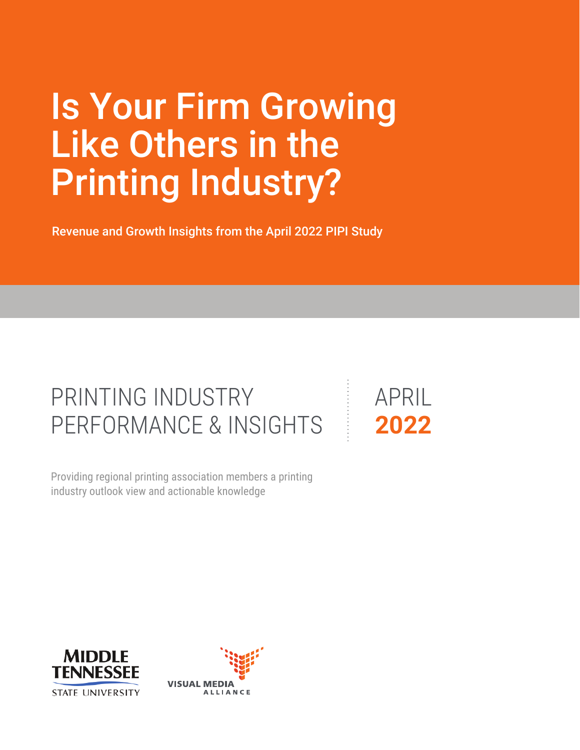# Is Your Firm Growing Like Others in the Printing Industry?

Revenue and Growth Insights from the April 2022 PIPI Study

## PRINTING INDUSTRY PERFORMANCE & INSIGHTS

industry outlook view and actionable knowledge Providing regional printing association members a printing APRIL **2022**



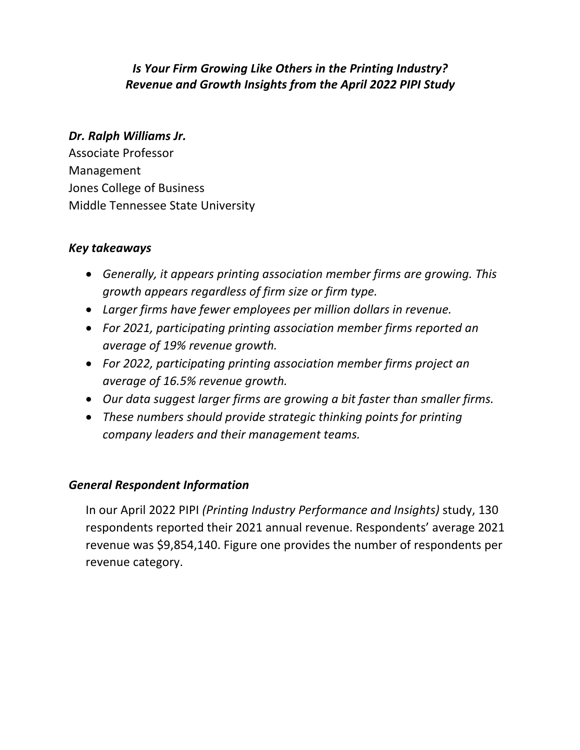#### *Is Your Firm Growing Like Others in the Printing Industry? Revenue and Growth Insights from the April 2022 PIPI Study*

#### *Dr. Ralph Williams Jr.*

Associate Professor Management Jones College of Business Middle Tennessee State University

#### *Key takeaways*

- *Generally, it appears printing association member firms are growing. This growth appears regardless of firm size or firm type.*
- *Larger firms have fewer employees per million dollars in revenue.*
- *For 2021, participating printing association member firms reported an average of 19% revenue growth.*
- *For 2022, participating printing association member firms project an average of 16.5% revenue growth.*
- *Our data suggest larger firms are growing a bit faster than smaller firms.*
- *These numbers should provide strategic thinking points for printing company leaders and their management teams.*

#### *General Respondent Information*

In our April 2022 PIPI *(Printing Industry Performance and Insights)* study, 130 respondents reported their 2021 annual revenue. Respondents' average 2021 revenue was \$9,854,140. Figure one provides the number of respondents per revenue category.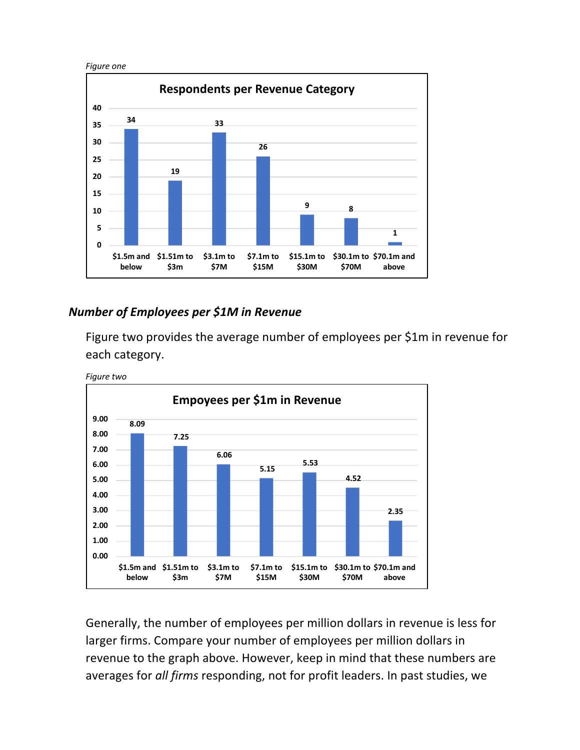

#### *Number of Employees per \$1M in Revenue*

Figure two provides the average number of employees per \$1m in revenue for each category.



Generally, the number of employees per million dollars in revenue is less for larger firms. Compare your number of employees per million dollars in revenue to the graph above. However, keep in mind that these numbers are averages for *all firms* responding, not for profit leaders. In past studies, we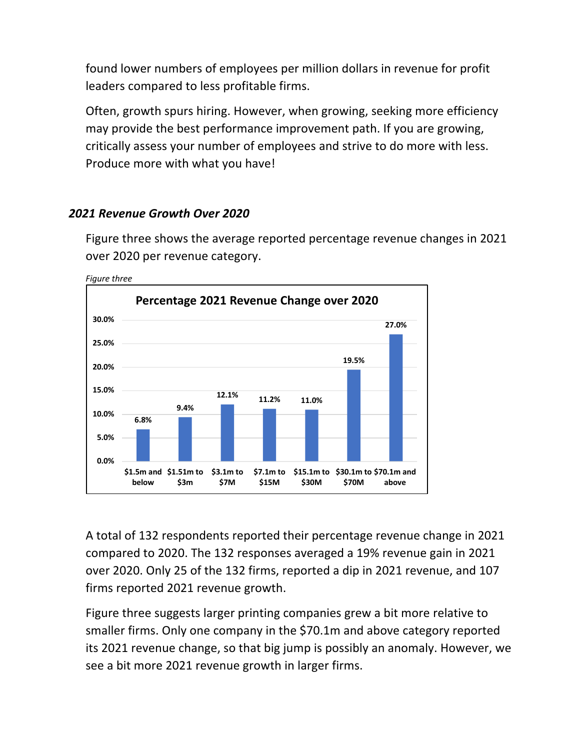found lower numbers of employees per million dollars in revenue for profit leaders compared to less profitable firms.

Often, growth spurs hiring. However, when growing, seeking more efficiency may provide the best performance improvement path. If you are growing, critically assess your number of employees and strive to do more with less. Produce more with what you have!

#### *2021 Revenue Growth Over 2020*

Figure three shows the average reported percentage revenue changes in 2021 over 2020 per revenue category.



*Figure three*

A total of 132 respondents reported their percentage revenue change in 2021 compared to 2020. The 132 responses averaged a 19% revenue gain in 2021 over 2020. Only 25 of the 132 firms, reported a dip in 2021 revenue, and 107 firms reported 2021 revenue growth.

Figure three suggests larger printing companies grew a bit more relative to smaller firms. Only one company in the \$70.1m and above category reported its 2021 revenue change, so that big jump is possibly an anomaly. However, we see a bit more 2021 revenue growth in larger firms.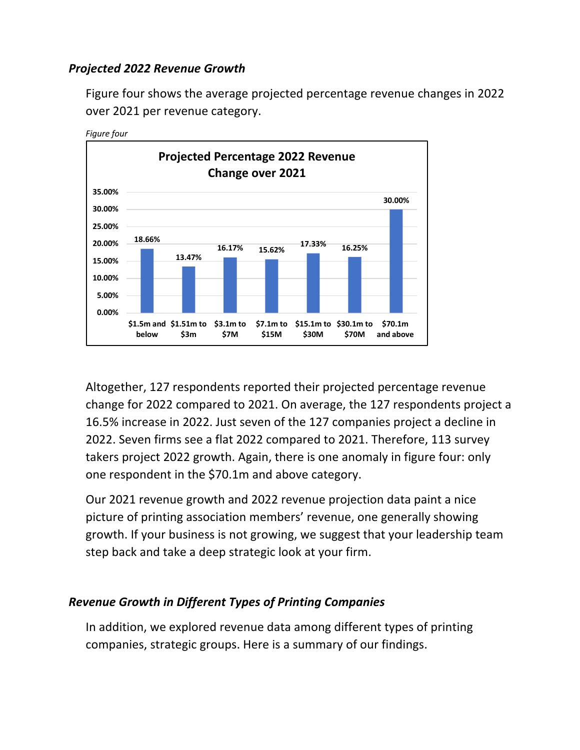#### *Projected 2022 Revenue Growth*

Figure four shows the average projected percentage revenue changes in 2022 over 2021 per revenue category.



Altogether, 127 respondents reported their projected percentage revenue change for 2022 compared to 2021. On average, the 127 respondents project a 16.5% increase in 2022. Just seven of the 127 companies project a decline in 2022. Seven firms see a flat 2022 compared to 2021. Therefore, 113 survey takers project 2022 growth. Again, there is one anomaly in figure four: only one respondent in the \$70.1m and above category.

Our 2021 revenue growth and 2022 revenue projection data paint a nice picture of printing association members' revenue, one generally showing growth. If your business is not growing, we suggest that your leadership team step back and take a deep strategic look at your firm.

#### *Revenue Growth in Different Types of Printing Companies*

In addition, we explored revenue data among different types of printing companies, strategic groups. Here is a summary of our findings.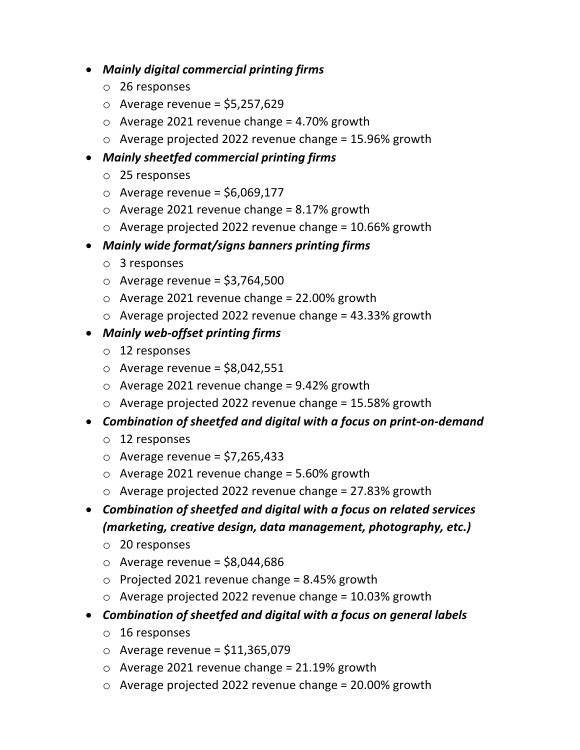- *Mainly digital commercial printing firms*
	- o 26 responses
	- $\circ$  Average revenue = \$5,257,629
	- $\circ$  Average 2021 revenue change = 4.70% growth
	- o Average projected 2022 revenue change = 15.96% growth

#### • *Mainly sheetfed commercial printing firms*

- o 25 responses
- $\circ$  Average revenue = \$6,069,177
- $\circ$  Average 2021 revenue change = 8.17% growth
- $\circ$  Average projected 2022 revenue change = 10.66% growth
- *Mainly wide format/signs banners printing firms*
	- o 3 responses
	- $\circ$  Average revenue = \$3,764,500
	- $\circ$  Average 2021 revenue change = 22.00% growth
	- o Average projected 2022 revenue change = 43.33% growth
- *Mainly web-offset printing firms*
	- o 12 responses
	- $\circ$  Average revenue = \$8,042,551
	- $\circ$  Average 2021 revenue change = 9.42% growth
	- $\circ$  Average projected 2022 revenue change = 15.58% growth
- *Combination of sheetfed and digital with a focus on print-on-demand*
	- o 12 responses
	- $\circ$  Average revenue = \$7,265,433
	- o Average 2021 revenue change = 5.60% growth
	- $\circ$  Average projected 2022 revenue change = 27.83% growth
- *Combination of sheetfed and digital with a focus on related services (marketing, creative design, data management, photography, etc.)*
	- o 20 responses
	- $\circ$  Average revenue = \$8,044,686
	- $\circ$  Projected 2021 revenue change = 8.45% growth
	- o Average projected 2022 revenue change = 10.03% growth
- *Combination of sheetfed and digital with a focus on general labels*
	- o 16 responses
	- $\circ$  Average revenue = \$11,365,079
	- o Average 2021 revenue change = 21.19% growth
	- o Average projected 2022 revenue change = 20.00% growth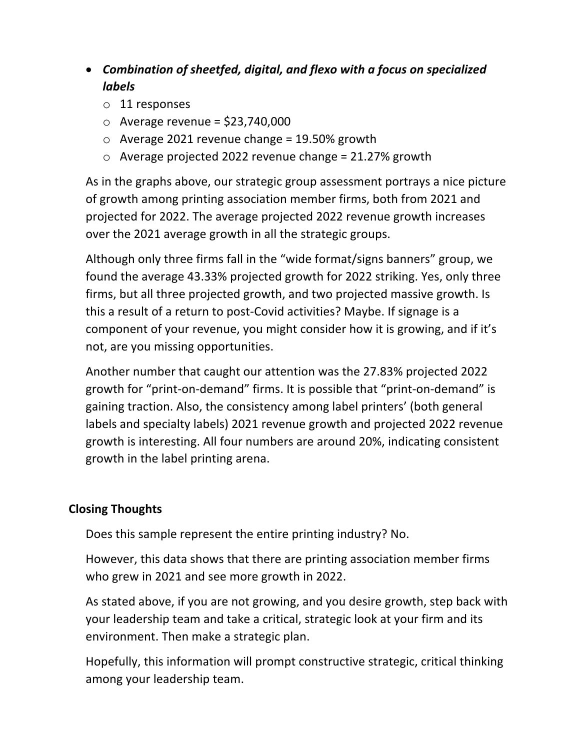### • *Combination of sheetfed, digital, and flexo with a focus on specialized labels*

- o 11 responses
- $\circ$  Average revenue = \$23,740,000
- $\circ$  Average 2021 revenue change = 19.50% growth
- $\circ$  Average projected 2022 revenue change = 21.27% growth

As in the graphs above, our strategic group assessment portrays a nice picture of growth among printing association member firms, both from 2021 and projected for 2022. The average projected 2022 revenue growth increases over the 2021 average growth in all the strategic groups.

Although only three firms fall in the "wide format/signs banners" group, we found the average 43.33% projected growth for 2022 striking. Yes, only three firms, but all three projected growth, and two projected massive growth. Is this a result of a return to post-Covid activities? Maybe. If signage is a component of your revenue, you might consider how it is growing, and if it's not, are you missing opportunities.

Another number that caught our attention was the 27.83% projected 2022 growth for "print-on-demand" firms. It is possible that "print-on-demand" is gaining traction. Also, the consistency among label printers' (both general labels and specialty labels) 2021 revenue growth and projected 2022 revenue growth is interesting. All four numbers are around 20%, indicating consistent growth in the label printing arena.

#### **Closing Thoughts**

Does this sample represent the entire printing industry? No.

However, this data shows that there are printing association member firms who grew in 2021 and see more growth in 2022.

As stated above, if you are not growing, and you desire growth, step back with your leadership team and take a critical, strategic look at your firm and its environment. Then make a strategic plan.

Hopefully, this information will prompt constructive strategic, critical thinking among your leadership team.